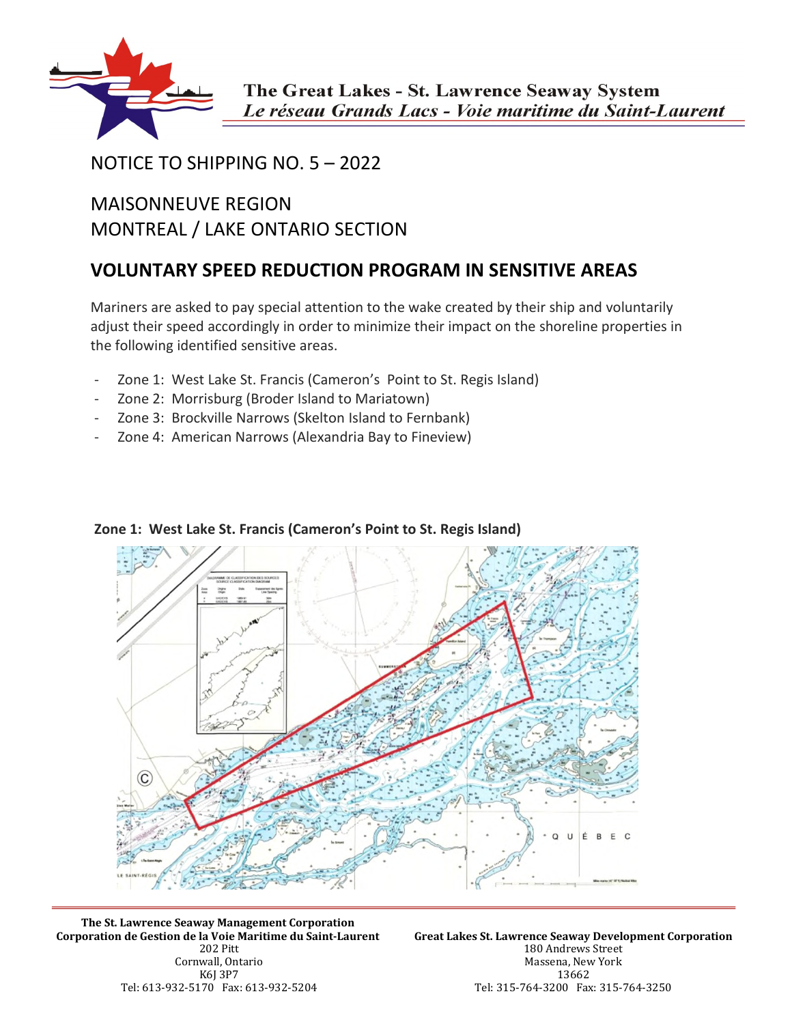

## NOTICE TO SHIPPING NO. 5 – 2022

## MAISONNEUVE REGION MONTREAL / LAKE ONTARIO SECTION

## **VOLUNTARY SPEED REDUCTION PROGRAM IN SENSITIVE AREAS**

Mariners are asked to pay special attention to the wake created by their ship and voluntarily adjust their speed accordingly in order to minimize their impact on the shoreline properties in the following identified sensitive areas.

- Zone 1: West Lake St. Francis (Cameron's Point to St. Regis Island)
- Zone 2: Morrisburg (Broder Island to Mariatown)
- Zone 3: Brockville Narrows (Skelton Island to Fernbank)
- Zone 4: American Narrows (Alexandria Bay to Fineview)



## **Zone 1: West Lake St. Francis (Cameron's Point to St. Regis Island)**

**The St. Lawrence Seaway Management Corporation Corporation de Gestion de la Voie Maritime du Saint-Laurent**  202 Pitt Cornwall, Ontario K6J 3P7 Tel: 613-932-5170 Fax: 613-932-5204

**Great Lakes St. Lawrence Seaway Development Corporation**  180 Andrews Street Massena, New York 13662 Tel: 315-764-3200 Fax: 315-764-3250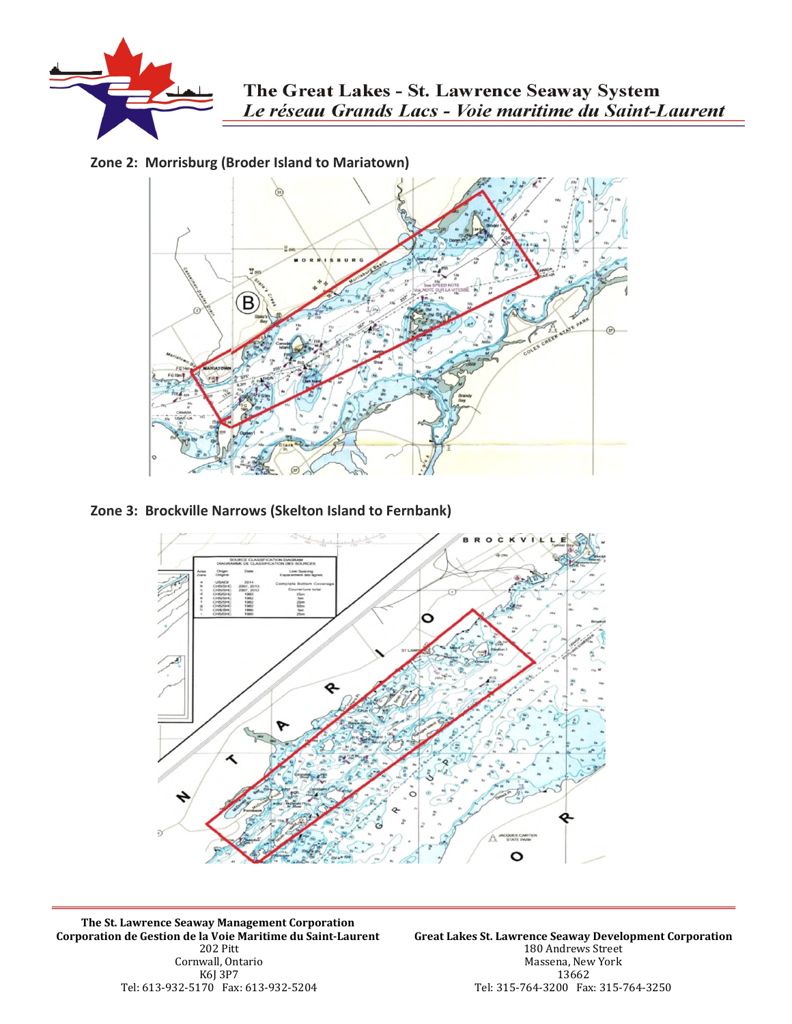

**Zone 2: Morrisburg (Broder Island to Mariatown)** 



**Zone 3: Brockville Narrows (Skelton Island to Fernbank)** 



**The St. Lawrence Seaway Management Corporation Corporation de Gestion de la Voie Maritime du Saint-Laurent**  202 Pitt Cornwall, Ontario K6J 3P7 Tel: 613-932-5170 Fax: 613-932-5204

**Great Lakes St. Lawrence Seaway Development Corporation**  180 Andrews Street Massena, New York 13662 Tel: 315-764-3200 Fax: 315-764-3250